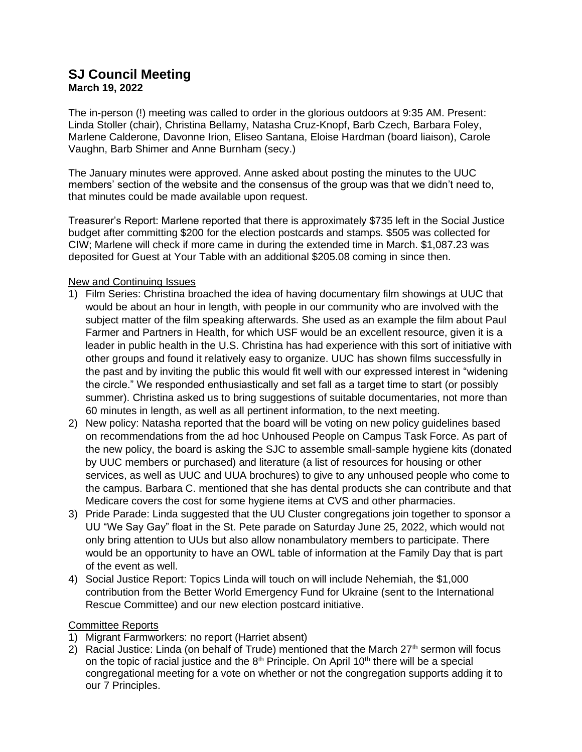## **SJ Council Meeting March 19, 2022**

The in-person (!) meeting was called to order in the glorious outdoors at 9:35 AM. Present: Linda Stoller (chair), Christina Bellamy, Natasha Cruz-Knopf, Barb Czech, Barbara Foley, Marlene Calderone, Davonne Irion, Eliseo Santana, Eloise Hardman (board liaison), Carole Vaughn, Barb Shimer and Anne Burnham (secy.)

The January minutes were approved. Anne asked about posting the minutes to the UUC members' section of the website and the consensus of the group was that we didn't need to, that minutes could be made available upon request.

Treasurer's Report: Marlene reported that there is approximately \$735 left in the Social Justice budget after committing \$200 for the election postcards and stamps. \$505 was collected for CIW; Marlene will check if more came in during the extended time in March. \$1,087.23 was deposited for Guest at Your Table with an additional \$205.08 coming in since then.

## New and Continuing Issues

- 1) Film Series: Christina broached the idea of having documentary film showings at UUC that would be about an hour in length, with people in our community who are involved with the subject matter of the film speaking afterwards. She used as an example the film about Paul Farmer and Partners in Health, for which USF would be an excellent resource, given it is a leader in public health in the U.S. Christina has had experience with this sort of initiative with other groups and found it relatively easy to organize. UUC has shown films successfully in the past and by inviting the public this would fit well with our expressed interest in "widening the circle." We responded enthusiastically and set fall as a target time to start (or possibly summer). Christina asked us to bring suggestions of suitable documentaries, not more than 60 minutes in length, as well as all pertinent information, to the next meeting.
- 2) New policy: Natasha reported that the board will be voting on new policy guidelines based on recommendations from the ad hoc Unhoused People on Campus Task Force. As part of the new policy, the board is asking the SJC to assemble small-sample hygiene kits (donated by UUC members or purchased) and literature (a list of resources for housing or other services, as well as UUC and UUA brochures) to give to any unhoused people who come to the campus. Barbara C. mentioned that she has dental products she can contribute and that Medicare covers the cost for some hygiene items at CVS and other pharmacies.
- 3) Pride Parade: Linda suggested that the UU Cluster congregations join together to sponsor a UU "We Say Gay" float in the St. Pete parade on Saturday June 25, 2022, which would not only bring attention to UUs but also allow nonambulatory members to participate. There would be an opportunity to have an OWL table of information at the Family Day that is part of the event as well.
- 4) Social Justice Report: Topics Linda will touch on will include Nehemiah, the \$1,000 contribution from the Better World Emergency Fund for Ukraine (sent to the International Rescue Committee) and our new election postcard initiative.

## Committee Reports

- 1) Migrant Farmworkers: no report (Harriet absent)
- 2) Racial Justice: Linda (on behalf of Trude) mentioned that the March  $27<sup>th</sup>$  sermon will focus on the topic of racial justice and the  $8<sup>th</sup>$  Principle. On April 10<sup>th</sup> there will be a special congregational meeting for a vote on whether or not the congregation supports adding it to our 7 Principles.